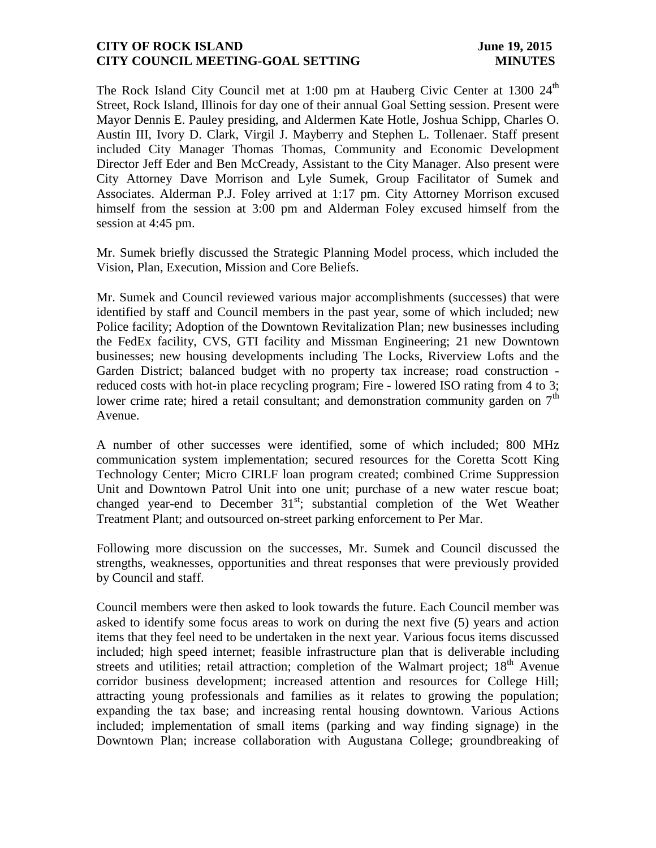## **CITY OF ROCK ISLAND** June 19, 2015 **CITY COUNCIL MEETING-GOAL SETTING MINUTES**

The Rock Island City Council met at 1:00 pm at Hauberg Civic Center at 1300  $24<sup>th</sup>$ Street, Rock Island, Illinois for day one of their annual Goal Setting session. Present were Mayor Dennis E. Pauley presiding, and Aldermen Kate Hotle, Joshua Schipp, Charles O. Austin III, Ivory D. Clark, Virgil J. Mayberry and Stephen L. Tollenaer. Staff present included City Manager Thomas Thomas, Community and Economic Development Director Jeff Eder and Ben McCready, Assistant to the City Manager. Also present were City Attorney Dave Morrison and Lyle Sumek, Group Facilitator of Sumek and Associates. Alderman P.J. Foley arrived at 1:17 pm. City Attorney Morrison excused himself from the session at 3:00 pm and Alderman Foley excused himself from the session at 4:45 pm.

Mr. Sumek briefly discussed the Strategic Planning Model process, which included the Vision, Plan, Execution, Mission and Core Beliefs.

Mr. Sumek and Council reviewed various major accomplishments (successes) that were identified by staff and Council members in the past year, some of which included; new Police facility; Adoption of the Downtown Revitalization Plan; new businesses including the FedEx facility, CVS, GTI facility and Missman Engineering; 21 new Downtown businesses; new housing developments including The Locks, Riverview Lofts and the Garden District; balanced budget with no property tax increase; road construction reduced costs with hot-in place recycling program; Fire - lowered ISO rating from 4 to 3; lower crime rate; hired a retail consultant; and demonstration community garden on  $7<sup>th</sup>$ Avenue.

A number of other successes were identified, some of which included; 800 MHz communication system implementation; secured resources for the Coretta Scott King Technology Center; Micro CIRLF loan program created; combined Crime Suppression Unit and Downtown Patrol Unit into one unit; purchase of a new water rescue boat; changed year-end to December  $31<sup>st</sup>$ ; substantial completion of the Wet Weather Treatment Plant; and outsourced on-street parking enforcement to Per Mar.

Following more discussion on the successes, Mr. Sumek and Council discussed the strengths, weaknesses, opportunities and threat responses that were previously provided by Council and staff.

Council members were then asked to look towards the future. Each Council member was asked to identify some focus areas to work on during the next five (5) years and action items that they feel need to be undertaken in the next year. Various focus items discussed included; high speed internet; feasible infrastructure plan that is deliverable including streets and utilities; retail attraction; completion of the Walmart project;  $18<sup>th</sup>$  Avenue corridor business development; increased attention and resources for College Hill; attracting young professionals and families as it relates to growing the population; expanding the tax base; and increasing rental housing downtown. Various Actions included; implementation of small items (parking and way finding signage) in the Downtown Plan; increase collaboration with Augustana College; groundbreaking of